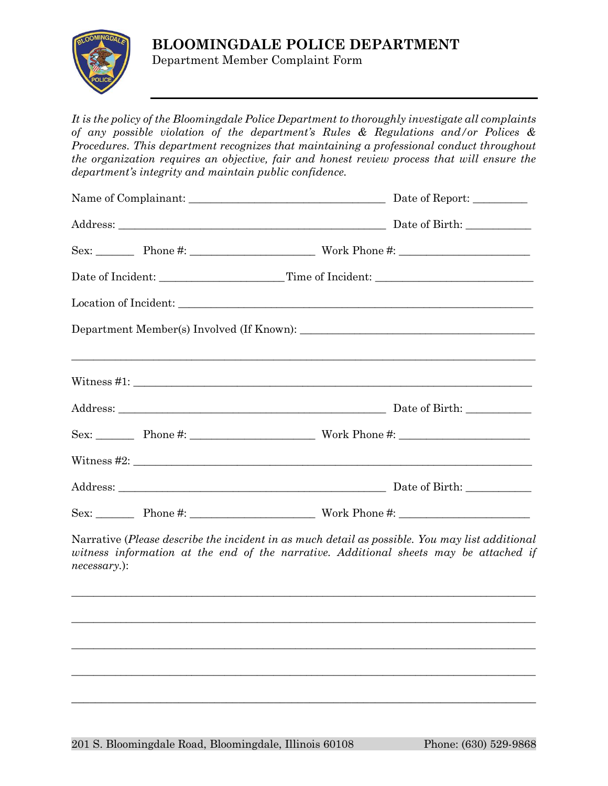## **BLOOMINGDALE POLICE DEPARTMENT**



Department Member Complaint Form

*It is the policy of the Bloomingdale Police Department to thoroughly investigate all complaints of any possible violation of the department's Rules & Regulations and/or Polices & Procedures. This department recognizes that maintaining a professional conduct throughout the organization requires an objective, fair and honest review process that will ensure the department's integrity and maintain public confidence.*

|  | Date of Incident: ____________________Time of Incident: ________________________ |
|--|----------------------------------------------------------------------------------|
|  |                                                                                  |
|  |                                                                                  |
|  |                                                                                  |
|  |                                                                                  |
|  |                                                                                  |
|  |                                                                                  |
|  |                                                                                  |
|  |                                                                                  |
|  |                                                                                  |

Narrative (*Please describe the incident in as much detail as possible. You may list additional*  witness information at the end of the narrative. Additional sheets may be attached if *necessary.*):

 $\_$  , and the set of the set of the set of the set of the set of the set of the set of the set of the set of the set of the set of the set of the set of the set of the set of the set of the set of the set of the set of th

 $\_$  ,  $\_$  ,  $\_$  ,  $\_$  ,  $\_$  ,  $\_$  ,  $\_$  ,  $\_$  ,  $\_$  ,  $\_$  ,  $\_$  ,  $\_$  ,  $\_$  ,  $\_$  ,  $\_$  ,  $\_$  ,  $\_$  ,  $\_$  ,  $\_$  ,  $\_$  ,  $\_$  ,  $\_$  ,  $\_$  ,  $\_$  ,  $\_$  ,  $\_$  ,  $\_$  ,  $\_$  ,  $\_$  ,  $\_$  ,  $\_$  ,  $\_$  ,  $\_$  ,  $\_$  ,  $\_$  ,  $\_$  ,  $\_$  ,

 $\_$  , and the set of the set of the set of the set of the set of the set of the set of the set of the set of the set of the set of the set of the set of the set of the set of the set of the set of the set of the set of th

 $\_$  ,  $\_$  ,  $\_$  ,  $\_$  ,  $\_$  ,  $\_$  ,  $\_$  ,  $\_$  ,  $\_$  ,  $\_$  ,  $\_$  ,  $\_$  ,  $\_$  ,  $\_$  ,  $\_$  ,  $\_$  ,  $\_$  ,  $\_$  ,  $\_$  ,  $\_$  ,  $\_$  ,  $\_$  ,  $\_$  ,  $\_$  ,  $\_$  ,  $\_$  ,  $\_$  ,  $\_$  ,  $\_$  ,  $\_$  ,  $\_$  ,  $\_$  ,  $\_$  ,  $\_$  ,  $\_$  ,  $\_$  ,  $\_$  ,

 $\_$  , and the set of the set of the set of the set of the set of the set of the set of the set of the set of the set of the set of the set of the set of the set of the set of the set of the set of the set of the set of th